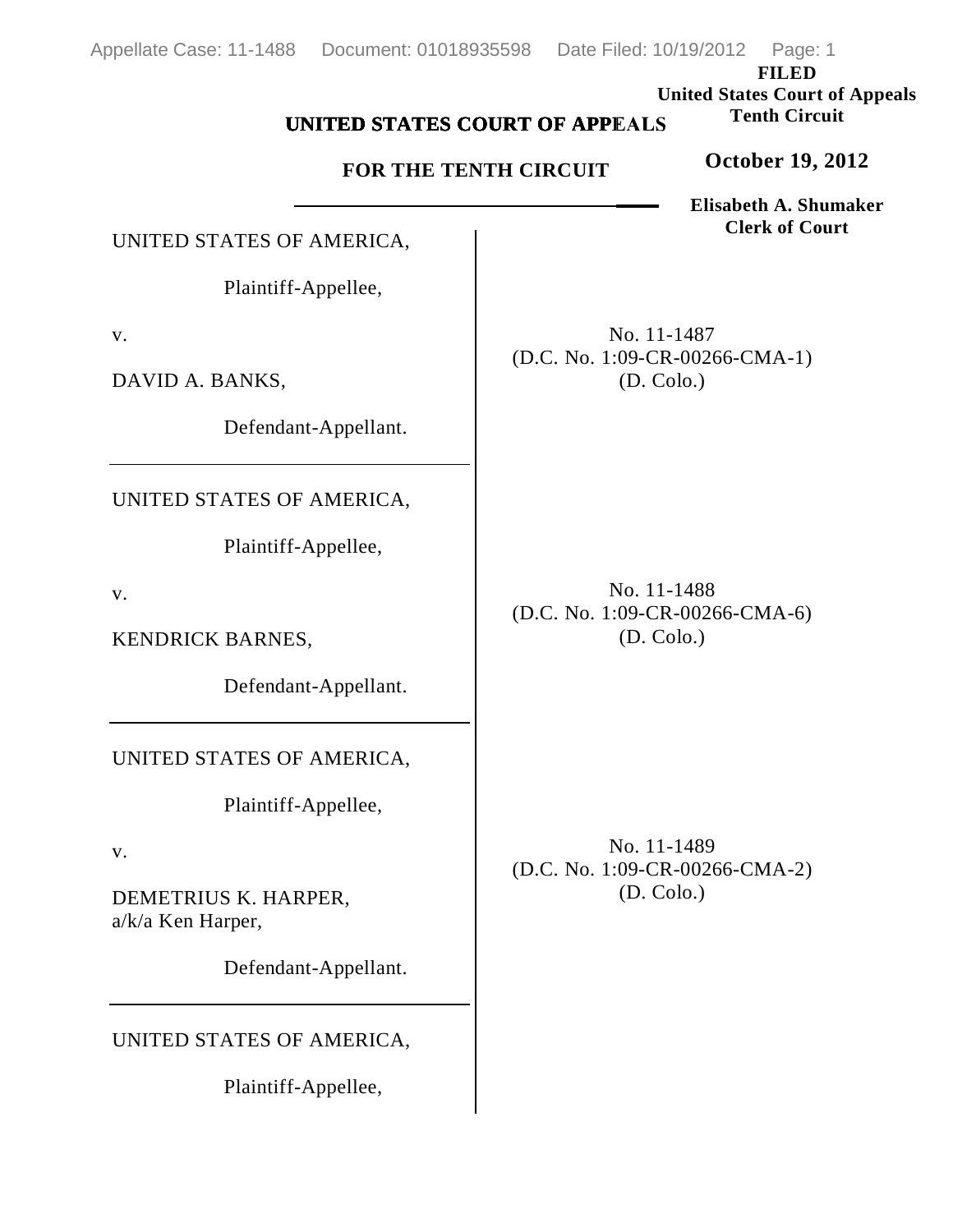**FILED United States Court of Appeals Tenth Circuit**

## **UNITED STATES COURT OF APPEALS**

## **FOR THE TENTH CIRCUIT**

**Elisabeth A. Shumaker Clerk of Court**

**October 19, 2012**

UNITED STATES OF AMERICA,

Plaintiff-Appellee,

v.

DAVID A. BANKS,

Defendant-Appellant.

UNITED STATES OF AMERICA,

Plaintiff-Appellee,

v.

KENDRICK BARNES,

Defendant-Appellant.

UNITED STATES OF AMERICA,

Plaintiff-Appellee,

v.

DEMETRIUS K. HARPER, a/k/a Ken Harper,

Defendant-Appellant.

UNITED STATES OF AMERICA,

Plaintiff-Appellee,

No. 11-1487 (D.C. No. 1:09-CR-00266-CMA-1) (D. Colo.)

No. 11-1488 (D.C. No. 1:09-CR-00266-CMA-6) (D. Colo.)

No. 11-1489 (D.C. No. 1:09-CR-00266-CMA-2) (D. Colo.)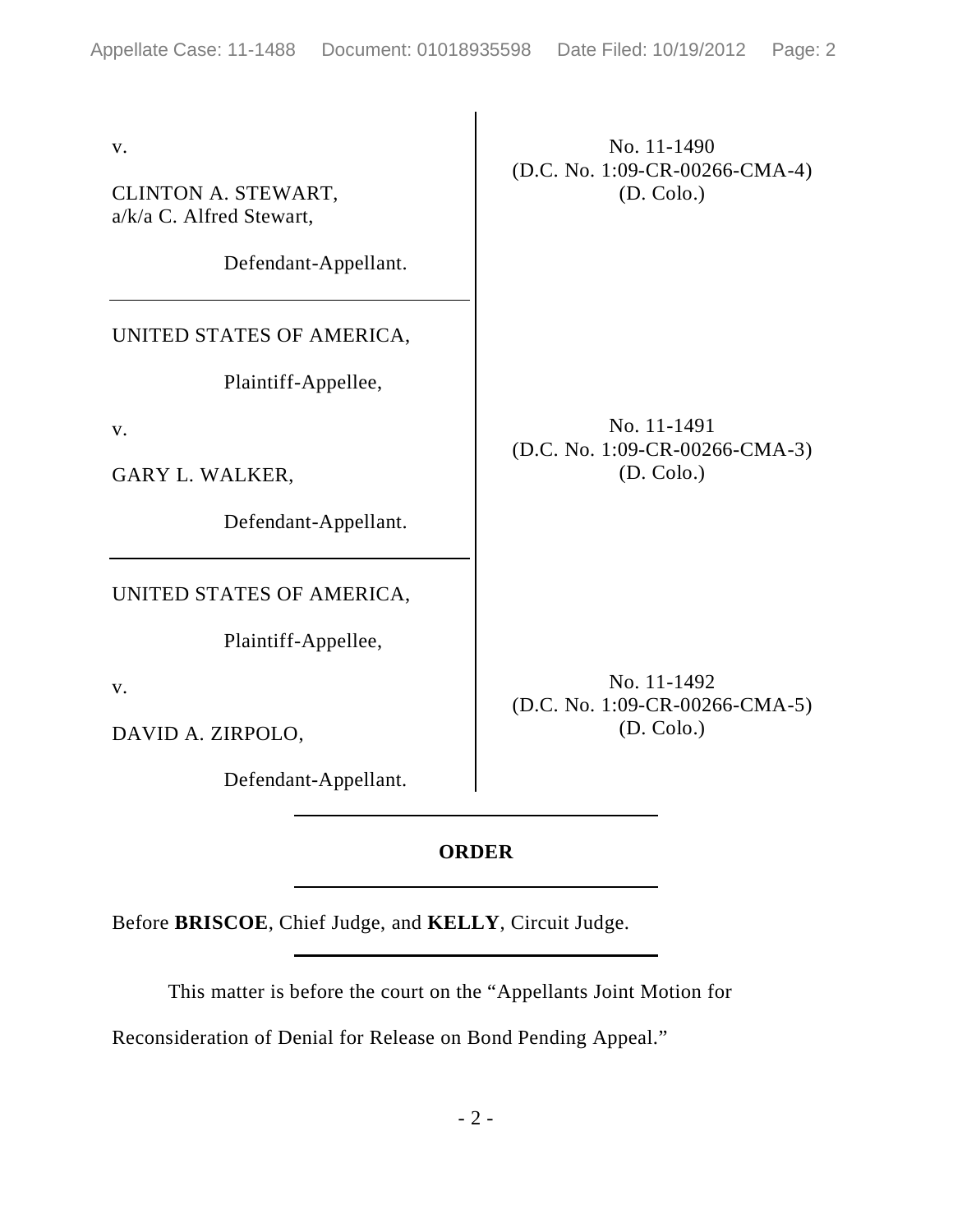v.

CLINTON A. STEWART, a/k/a C. Alfred Stewart,

Defendant-Appellant.

UNITED STATES OF AMERICA,

Plaintiff-Appellee,

v.

GARY L. WALKER,

Defendant-Appellant.

UNITED STATES OF AMERICA,

Plaintiff-Appellee,

v.

DAVID A. ZIRPOLO,

Defendant-Appellant.

No. 11-1490 (D.C. No. 1:09-CR-00266-CMA-4) (D. Colo.)

No. 11-1491 (D.C. No. 1:09-CR-00266-CMA-3) (D. Colo.)

No. 11-1492 (D.C. No. 1:09-CR-00266-CMA-5) (D. Colo.)

## **ORDER**

Before **BRISCOE**, Chief Judge, and **KELLY**, Circuit Judge.

This matter is before the court on the "Appellants Joint Motion for

Reconsideration of Denial for Release on Bond Pending Appeal."